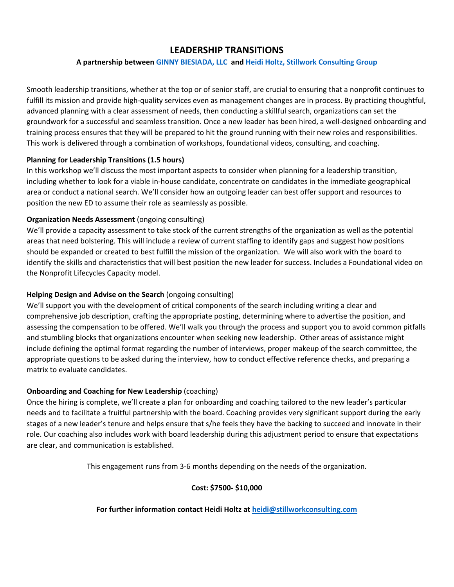# **LEADERSHIP TRANSITIONS**

## **A partnership between GINNY [BIESIADA, LLC](https://sites.google.com/view/ginnybiesiadallc/home) and [Heidi Holtz, Stillwork Consulting Group](https://stillworkconsulting.com/)**

Smooth leadership transitions, whether at the top or of senior staff, are crucial to ensuring that a nonprofit continues to fulfill its mission and provide high-quality services even as management changes are in process. By practicing thoughtful, advanced planning with a clear assessment of needs, then conducting a skillful search, organizations can set the groundwork for a successful and seamless transition. Once a new leader has been hired, a well-designed onboarding and training process ensures that they will be prepared to hit the ground running with their new roles and responsibilities. This work is delivered through a combination of workshops, foundational videos, consulting, and coaching.

## **Planning for Leadership Transitions (1.5 hours)**

In this workshop we'll discuss the most important aspects to consider when planning for a leadership transition, including whether to look for a viable in-house candidate, concentrate on candidates in the immediate geographical area or conduct a national search. We'll consider how an outgoing leader can best offer support and resources to position the new ED to assume their role as seamlessly as possible.

## **Organization Needs Assessment** (ongoing consulting)

We'll provide a capacity assessment to take stock of the current strengths of the organization as well as the potential areas that need bolstering. This will include a review of current staffing to identify gaps and suggest how positions should be expanded or created to best fulfill the mission of the organization. We will also work with the board to identify the skills and characteristics that will best position the new leader for success. Includes a Foundational video on the Nonprofit Lifecycles Capacity model.

## **Helping Design and Advise on the Search** (ongoing consulting)

We'll support you with the development of critical components of the search including writing a clear and comprehensive job description, crafting the appropriate posting, determining where to advertise the position, and assessing the compensation to be offered. We'll walk you through the process and support you to avoid common pitfalls and stumbling blocks that organizations encounter when seeking new leadership. Other areas of assistance might include defining the optimal format regarding the number of interviews, proper makeup of the search committee, the appropriate questions to be asked during the interview, how to conduct effective reference checks, and preparing a matrix to evaluate candidates.

## **Onboarding and Coaching for New Leadership (coaching)**

Once the hiring is complete, we'll create a plan for onboarding and coaching tailored to the new leader's particular needs and to facilitate a fruitful partnership with the board. Coaching provides very significant support during the early stages of a new leader's tenure and helps ensure that s/he feels they have the backing to succeed and innovate in their role. Our coaching also includes work with board leadership during this adjustment period to ensure that expectations are clear, and communication is established.

This engagement runs from 3-6 months depending on the needs of the organization.

## **Cost: \$7500- \$10,000**

## **For further information contact Heidi Holtz at [heidi@stillworkconsulting.com](mailto:heidi@stillworkconsulting.com)**